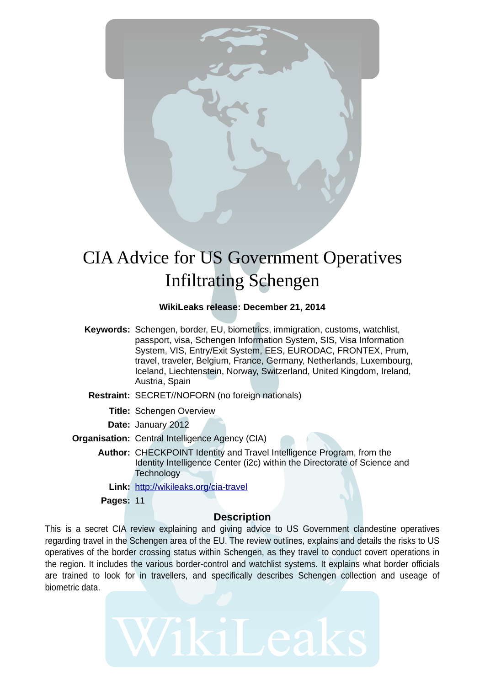

# CIA Advice for US Government Operatives Infiltrating Schengen

## **WikiLeaks release: December 21, 2014**

- **Keywords:** Schengen, border, EU, biometrics, immigration, customs, watchlist, passport, visa, Schengen Information System, SIS, Visa Information System, VIS, Entry/Exit System, EES, EURODAC, FRONTEX, Prum, travel, traveler, Belgium, France, Germany, Netherlands, Luxembourg, Iceland, Liechtenstein, Norway, Switzerland, United Kingdom, Ireland, Austria, Spain
- **Restraint:** SECRET//NOFORN (no foreign nationals)
	- **Title:** Schengen Overview
	- **Date:** January 2012
- **Organisation:** Central Intelligence Agency (CIA)
	- **Author:** CHECKPOINT Identity and Travel Intelligence Program, from the Identity Intelligence Center (i2c) within the Directorate of Science and **Technology** 
		- **Link:** http://wikileaks.org/cia-travel
	- **Pages:** 11

## **Description**

This is a secret CIA review explaining and giving advice to US Government clandestine operatives regarding travel in the Schengen area of the EU. The review outlines, explains and details the risks to US operatives of the border crossing status within Schengen, as they travel to conduct covert operations in the region. It includes the various border-control and watchlist systems. It explains what border officials are trained to look for in travellers, and specifically describes Schengen collection and useage of biometric data.

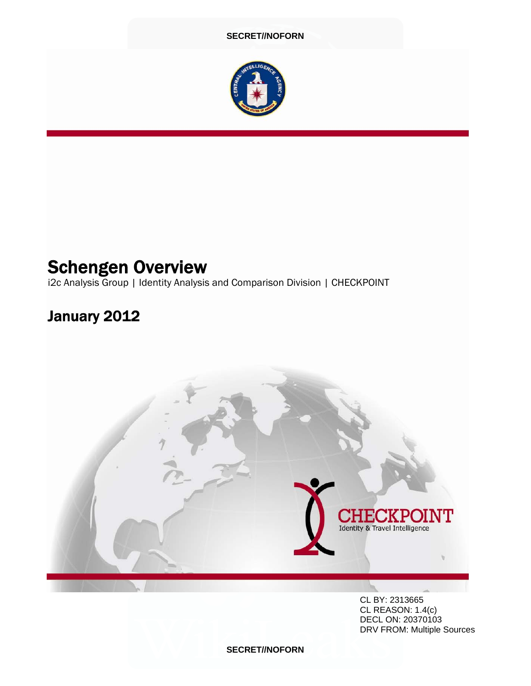

## Schengen Overview

i2c Analysis Group | Identity Analysis and Comparison Division | CHECKPOINT

## January 2012



 CL BY: 2313665 CL REASON: 1.4(c) DECL ON: 20370103 DRV FROM: Multiple Sources

**SECRET//NOFORN**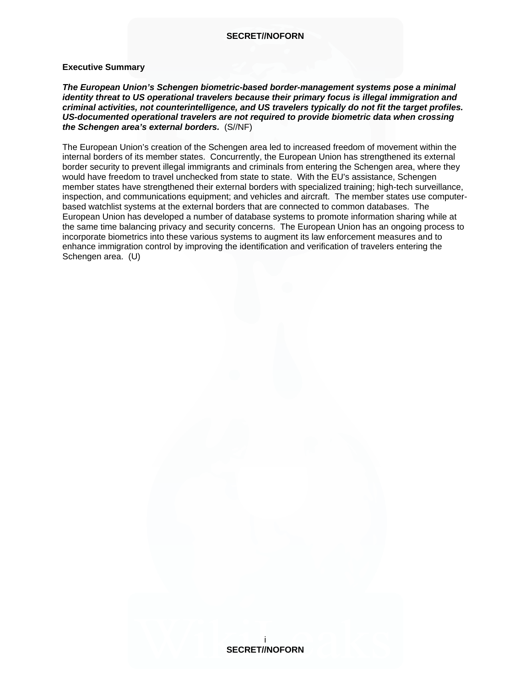#### **Executive Summary**

*The European Union's Schengen biometric-based border-management systems pose a minimal identity threat to US operational travelers because their primary focus is illegal immigration and criminal activities, not counterintelligence, and US travelers typically do not fit the target profiles. US-documented operational travelers are not required to provide biometric data when crossing the Schengen area's external borders.* (S//NF)

The European Union's creation of the Schengen area led to increased freedom of movement within the internal borders of its member states. Concurrently, the European Union has strengthened its external border security to prevent illegal immigrants and criminals from entering the Schengen area, where they would have freedom to travel unchecked from state to state. With the EU's assistance, Schengen member states have strengthened their external borders with specialized training; high-tech surveillance, inspection, and communications equipment; and vehicles and aircraft. The member states use computerbased watchlist systems at the external borders that are connected to common databases. The European Union has developed a number of database systems to promote information sharing while at the same time balancing privacy and security concerns. The European Union has an ongoing process to incorporate biometrics into these various systems to augment its law enforcement measures and to enhance immigration control by improving the identification and verification of travelers entering the Schengen area. (U)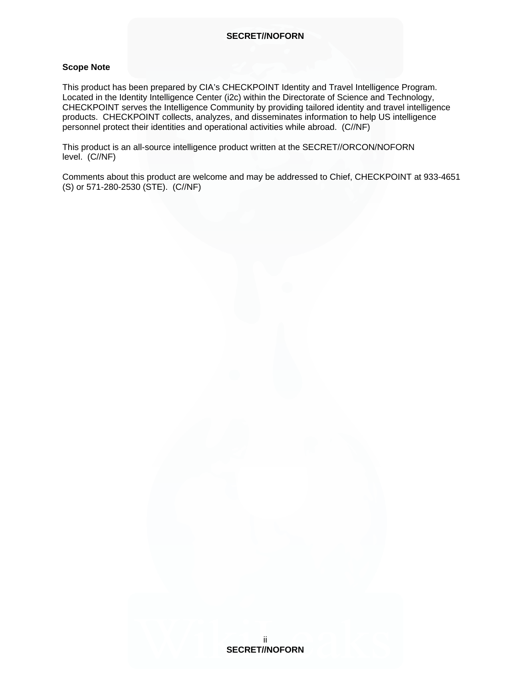#### **Scope Note**

This product has been prepared by CIA's CHECKPOINT Identity and Travel Intelligence Program. Located in the Identity Intelligence Center (i2c) within the Directorate of Science and Technology, CHECKPOINT serves the Intelligence Community by providing tailored identity and travel intelligence products. CHECKPOINT collects, analyzes, and disseminates information to help US intelligence personnel protect their identities and operational activities while abroad. (C//NF)

This product is an all-source intelligence product written at the SECRET//ORCON/NOFORN level. (C//NF)

Comments about this product are welcome and may be addressed to Chief, CHECKPOINT at 933-4651 (S) or 571-280-2530 (STE). (C//NF)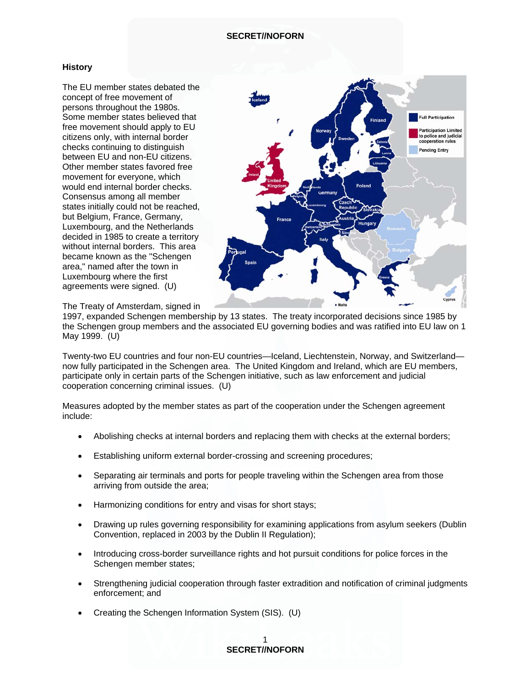#### **History**

The EU member states debated the concept of free movement of persons throughout the 1980s. Some member states believed that free movement should apply to EU citizens only, with internal border checks continuing to distinguish between EU and non-EU citizens. Other member states favored free movement for everyone, which would end internal border checks. Consensus among all member states initially could not be reached, but Belgium, France, Germany, Luxembourg, and the Netherlands decided in 1985 to create a territory without internal borders. This area became known as the "Schengen area," named after the town in Luxembourg where the first agreements were signed. (U)



The Treaty of Amsterdam, signed in

1997, expanded Schengen membership by 13 states. The treaty incorporated decisions since 1985 by the Schengen group members and the associated EU governing bodies and was ratified into EU law on 1 May 1999. (U)

Twenty-two EU countries and four non-EU countries—Iceland, Liechtenstein, Norway, and Switzerland now fully participated in the Schengen area. The United Kingdom and Ireland, which are EU members, participate only in certain parts of the Schengen initiative, such as law enforcement and judicial cooperation concerning criminal issues. (U)

Measures adopted by the member states as part of the cooperation under the Schengen agreement include:

- Abolishing checks at internal borders and replacing them with checks at the external borders;
- Establishing uniform external border-crossing and screening procedures;
- Separating air terminals and ports for people traveling within the Schengen area from those arriving from outside the area;
- Harmonizing conditions for entry and visas for short stays;
- Drawing up rules governing responsibility for examining applications from asylum seekers (Dublin Convention, replaced in 2003 by the Dublin II Regulation);
- Introducing cross-border surveillance rights and hot pursuit conditions for police forces in the Schengen member states;
- Strengthening judicial cooperation through faster extradition and notification of criminal judgments enforcement; and
- Creating the Schengen Information System (SIS). (U)

#### 1 **SECRET//NOFORN**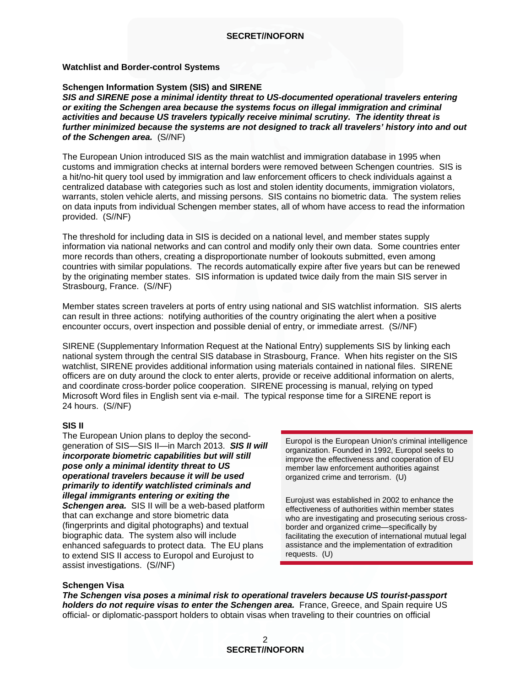#### **Watchlist and Border-control Systems**

#### **Schengen Information System (SIS) and SIRENE**

*SIS and SIRENE pose a minimal identity threat to US-documented operational travelers entering or exiting the Schengen area because the systems focus on illegal immigration and criminal activities and because US travelers typically receive minimal scrutiny. The identity threat is further minimized because the systems are not designed to track all travelers' history into and out of the Schengen area.* (S//NF)

The European Union introduced SIS as the main watchlist and immigration database in 1995 when customs and immigration checks at internal borders were removed between Schengen countries. SIS is a hit/no-hit query tool used by immigration and law enforcement officers to check individuals against a centralized database with categories such as lost and stolen identity documents, immigration violators, warrants, stolen vehicle alerts, and missing persons. SIS contains no biometric data. The system relies on data inputs from individual Schengen member states, all of whom have access to read the information provided. (S//NF)

The threshold for including data in SIS is decided on a national level, and member states supply information via national networks and can control and modify only their own data. Some countries enter more records than others, creating a disproportionate number of lookouts submitted, even among countries with similar populations. The records automatically expire after five years but can be renewed by the originating member states. SIS information is updated twice daily from the main SIS server in Strasbourg, France. (S//NF)

Member states screen travelers at ports of entry using national and SIS watchlist information. SIS alerts can result in three actions: notifying authorities of the country originating the alert when a positive encounter occurs, overt inspection and possible denial of entry, or immediate arrest. (S//NF)

SIRENE (Supplementary Information Request at the National Entry) supplements SIS by linking each national system through the central SIS database in Strasbourg, France. When hits register on the SIS watchlist, SIRENE provides additional information using materials contained in national files. SIRENE officers are on duty around the clock to enter alerts, provide or receive additional information on alerts, and coordinate cross-border police cooperation. SIRENE processing is manual, relying on typed Microsoft Word files in English sent via e-mail. The typical response time for a SIRENE report is 24 hours. (S//NF)

#### **SIS II**

The European Union plans to deploy the secondgeneration of SIS—SIS II—in March 2013. *SIS II will incorporate biometric capabilities but will still pose only a minimal identity threat to US operational travelers because it will be used primarily to identify watchlisted criminals and illegal immigrants entering or exiting the Schengen area.* SIS II will be a web-based platform that can exchange and store biometric data (fingerprints and digital photographs) and textual biographic data. The system also will include enhanced safeguards to protect data. The EU plans to extend SIS II access to Europol and Eurojust to assist investigations. (S//NF)

Europol is the European Union's criminal intelligence organization. Founded in 1992, Europol seeks to improve the effectiveness and cooperation of EU member law enforcement authorities against organized crime and terrorism. (U)

Eurojust was established in 2002 to enhance the effectiveness of authorities within member states who are investigating and prosecuting serious crossborder and organized crime—specifically by facilitating the execution of international mutual legal assistance and the implementation of extradition requests. (U)

#### **Schengen Visa**

*The Schengen visa poses a minimal risk to operational travelers because US tourist-passport holders do not require visas to enter the Schengen area.* France, Greece, and Spain require US official- or diplomatic-passport holders to obtain visas when traveling to their countries on official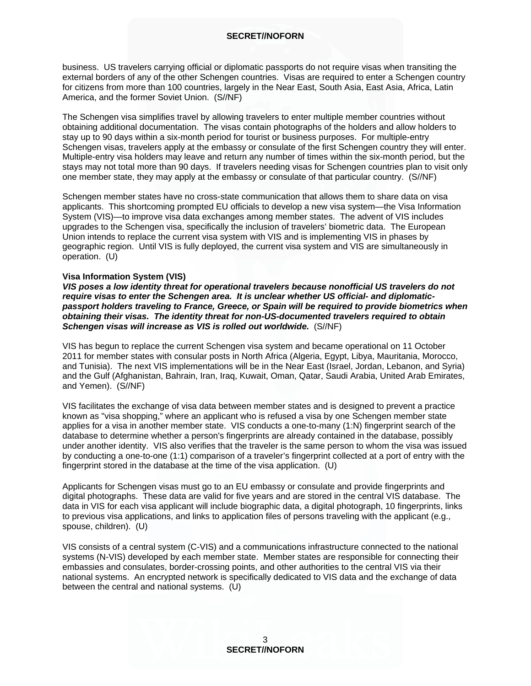business. US travelers carrying official or diplomatic passports do not require visas when transiting the external borders of any of the other Schengen countries. Visas are required to enter a Schengen country for citizens from more than 100 countries, largely in the Near East, South Asia, East Asia, Africa, Latin America, and the former Soviet Union. (S//NF)

The Schengen visa simplifies travel by allowing travelers to enter multiple member countries without obtaining additional documentation. The visas contain photographs of the holders and allow holders to stay up to 90 days within a six-month period for tourist or business purposes. For multiple-entry Schengen visas, travelers apply at the embassy or consulate of the first Schengen country they will enter. Multiple-entry visa holders may leave and return any number of times within the six-month period, but the stays may not total more than 90 days. If travelers needing visas for Schengen countries plan to visit only one member state, they may apply at the embassy or consulate of that particular country. (S//NF)

Schengen member states have no cross-state communication that allows them to share data on visa applicants. This shortcoming prompted EU officials to develop a new visa system—the Visa Information System (VIS)—to improve visa data exchanges among member states. The advent of VIS includes upgrades to the Schengen visa, specifically the inclusion of travelers' biometric data. The European Union intends to replace the current visa system with VIS and is implementing VIS in phases by geographic region. Until VIS is fully deployed, the current visa system and VIS are simultaneously in operation. (U)

#### **Visa Information System (VIS)**

*VIS poses a low identity threat for operational travelers because nonofficial US travelers do not require visas to enter the Schengen area. It is unclear whether US official- and diplomaticpassport holders traveling to France, Greece, or Spain will be required to provide biometrics when obtaining their visas. The identity threat for non-US-documented travelers required to obtain Schengen visas will increase as VIS is rolled out worldwide.* (S//NF)

VIS has begun to replace the current Schengen visa system and became operational on 11 October 2011 for member states with consular posts in North Africa (Algeria, Egypt, Libya, Mauritania, Morocco, and Tunisia). The next VIS implementations will be in the Near East (Israel, Jordan, Lebanon, and Syria) and the Gulf (Afghanistan, Bahrain, Iran, Iraq, Kuwait, Oman, Qatar, Saudi Arabia, United Arab Emirates, and Yemen). (S//NF)

VIS facilitates the exchange of visa data between member states and is designed to prevent a practice known as "visa shopping," where an applicant who is refused a visa by one Schengen member state applies for a visa in another member state. VIS conducts a one-to-many (1:N) fingerprint search of the database to determine whether a person's fingerprints are already contained in the database, possibly under another identity. VIS also verifies that the traveler is the same person to whom the visa was issued by conducting a one-to-one (1:1) comparison of a traveler's fingerprint collected at a port of entry with the fingerprint stored in the database at the time of the visa application. (U)

Applicants for Schengen visas must go to an EU embassy or consulate and provide fingerprints and digital photographs. These data are valid for five years and are stored in the central VIS database. The data in VIS for each visa applicant will include biographic data, a digital photograph, 10 fingerprints, links to previous visa applications, and links to application files of persons traveling with the applicant (e.g., spouse, children). (U)

VIS consists of a central system (C-VIS) and a communications infrastructure connected to the national systems (N-VIS) developed by each member state. Member states are responsible for connecting their embassies and consulates, border-crossing points, and other authorities to the central VIS via their national systems. An encrypted network is specifically dedicated to VIS data and the exchange of data between the central and national systems. (U)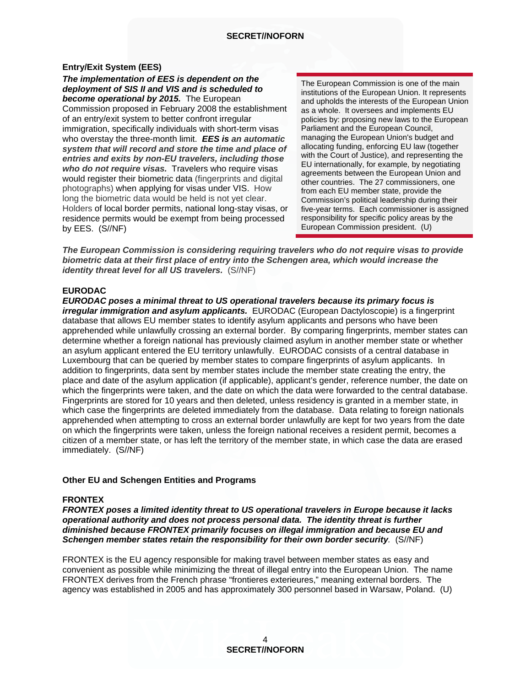#### **Entry/Exit System (EES)**

*The implementation of EES is dependent on the deployment of SIS II and VIS and is scheduled to become operational by 2015.* The European Commission proposed in February 2008 the establishment of an entry/exit system to better confront irregular immigration, specifically individuals with short-term visas who overstay the three-month limit. *EES is an automatic system that will record and store the time and place of entries and exits by non-EU travelers, including those who do not require visas.* Travelers who require visas would register their biometric data (fingerprints and digital photographs) when applying for visas under VIS. How long the biometric data would be held is not yet clear. Holders of local border permits, national long-stay visas, or residence permits would be exempt from being processed by EES. (S//NF)

The European Commission is one of the main institutions of the European Union. It represents and upholds the interests of the European Union as a whole. It oversees and implements EU policies by: proposing new laws to the European Parliament and the European Council, managing the European Union's budget and allocating funding, enforcing EU law (together with the Court of Justice), and representing the EU internationally, for example, by negotiating agreements between the European Union and other countries. The 27 commissioners, one from each EU member state, provide the Commission's political leadership during their five-year terms. Each commissioner is assigned responsibility for specific policy areas by the European Commission president. (U)

*The European Commission is considering requiring travelers who do not require visas to provide biometric data at their first place of entry into the Schengen area, which would increase the identity threat level for all US travelers.* (S//NF)

#### **EURODAC**

*EURODAC poses a minimal threat to US operational travelers because its primary focus is irregular immigration and asylum applicants.* EURODAC (European Dactyloscopie) is a fingerprint database that allows EU member states to identify asylum applicants and persons who have been apprehended while unlawfully crossing an external border. By comparing fingerprints, member states can determine whether a foreign national has previously claimed asylum in another member state or whether an asylum applicant entered the EU territory unlawfully. EURODAC consists of a central database in Luxembourg that can be queried by member states to compare fingerprints of asylum applicants. In addition to fingerprints, data sent by member states include the member state creating the entry, the place and date of the asylum application (if applicable), applicant's gender, reference number, the date on which the fingerprints were taken, and the date on which the data were forwarded to the central database. Fingerprints are stored for 10 years and then deleted, unless residency is granted in a member state, in which case the fingerprints are deleted immediately from the database. Data relating to foreign nationals apprehended when attempting to cross an external border unlawfully are kept for two years from the date on which the fingerprints were taken, unless the foreign national receives a resident permit, becomes a citizen of a member state, or has left the territory of the member state, in which case the data are erased immediately. (S//NF)

#### **Other EU and Schengen Entities and Programs**

#### **FRONTEX**

*FRONTEX poses a limited identity threat to US operational travelers in Europe because it lacks operational authority and does not process personal data. The identity threat is further diminished because FRONTEX primarily focuses on illegal immigration and because EU and Schengen member states retain the responsibility for their own border security.* (S//NF)

FRONTEX is the EU agency responsible for making travel between member states as easy and convenient as possible while minimizing the threat of illegal entry into the European Union. The name FRONTEX derives from the French phrase "frontieres exterieures," meaning external borders. The agency was established in 2005 and has approximately 300 personnel based in Warsaw, Poland. (U)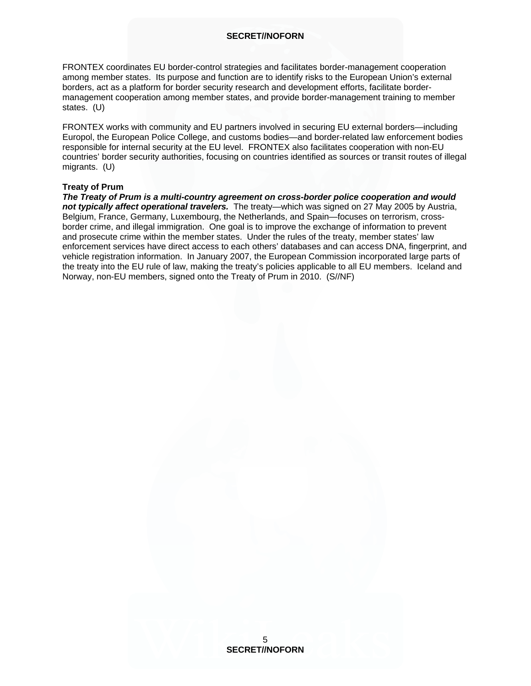FRONTEX coordinates EU border-control strategies and facilitates border-management cooperation among member states. Its purpose and function are to identify risks to the European Union's external borders, act as a platform for border security research and development efforts, facilitate bordermanagement cooperation among member states, and provide border-management training to member states. (U)

FRONTEX works with community and EU partners involved in securing EU external borders—including Europol, the European Police College, and customs bodies—and border-related law enforcement bodies responsible for internal security at the EU level. FRONTEX also facilitates cooperation with non-EU countries' border security authorities, focusing on countries identified as sources or transit routes of illegal migrants. (U)

#### **Treaty of Prum**

*The Treaty of Prum is a multi-country agreement on cross-border police cooperation and would not typically affect operational travelers.* The treaty—which was signed on 27 May 2005 by Austria, Belgium, France, Germany, Luxembourg, the Netherlands, and Spain—focuses on terrorism, crossborder crime, and illegal immigration. One goal is to improve the exchange of information to prevent and prosecute crime within the member states. Under the rules of the treaty, member states' law enforcement services have direct access to each others' databases and can access DNA, fingerprint, and vehicle registration information. In January 2007, the European Commission incorporated large parts of the treaty into the EU rule of law, making the treaty's policies applicable to all EU members. Iceland and Norway, non-EU members, signed onto the Treaty of Prum in 2010. (S//NF)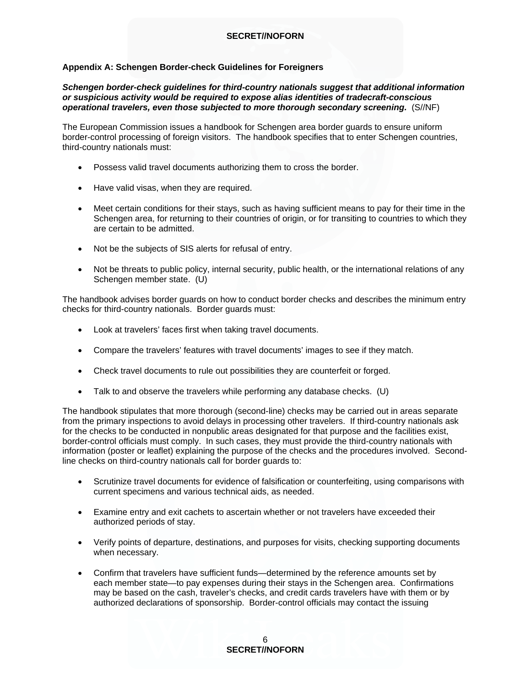#### **Appendix A: Schengen Border-check Guidelines for Foreigners**

#### *Schengen border-check guidelines for third-country nationals suggest that additional information or suspicious activity would be required to expose alias identities of tradecraft-conscious operational travelers, even those subjected to more thorough secondary screening.* (S//NF)

The European Commission issues a handbook for Schengen area border guards to ensure uniform border-control processing of foreign visitors. The handbook specifies that to enter Schengen countries, third-country nationals must:

- Possess valid travel documents authorizing them to cross the border.
- Have valid visas, when they are required.
- Meet certain conditions for their stays, such as having sufficient means to pay for their time in the Schengen area, for returning to their countries of origin, or for transiting to countries to which they are certain to be admitted.
- Not be the subjects of SIS alerts for refusal of entry.
- Not be threats to public policy, internal security, public health, or the international relations of any Schengen member state. (U)

The handbook advises border guards on how to conduct border checks and describes the minimum entry checks for third-country nationals. Border guards must:

- Look at travelers' faces first when taking travel documents.
- Compare the travelers' features with travel documents' images to see if they match.
- Check travel documents to rule out possibilities they are counterfeit or forged.
- Talk to and observe the travelers while performing any database checks. (U)

The handbook stipulates that more thorough (second-line) checks may be carried out in areas separate from the primary inspections to avoid delays in processing other travelers. If third-country nationals ask for the checks to be conducted in nonpublic areas designated for that purpose and the facilities exist, border-control officials must comply. In such cases, they must provide the third-country nationals with information (poster or leaflet) explaining the purpose of the checks and the procedures involved. Secondline checks on third-country nationals call for border guards to:

- Scrutinize travel documents for evidence of falsification or counterfeiting, using comparisons with current specimens and various technical aids, as needed.
- Examine entry and exit cachets to ascertain whether or not travelers have exceeded their authorized periods of stay.
- Verify points of departure, destinations, and purposes for visits, checking supporting documents when necessary.
- Confirm that travelers have sufficient funds—determined by the reference amounts set by each member state—to pay expenses during their stays in the Schengen area. Confirmations may be based on the cash, traveler's checks, and credit cards travelers have with them or by authorized declarations of sponsorship. Border-control officials may contact the issuing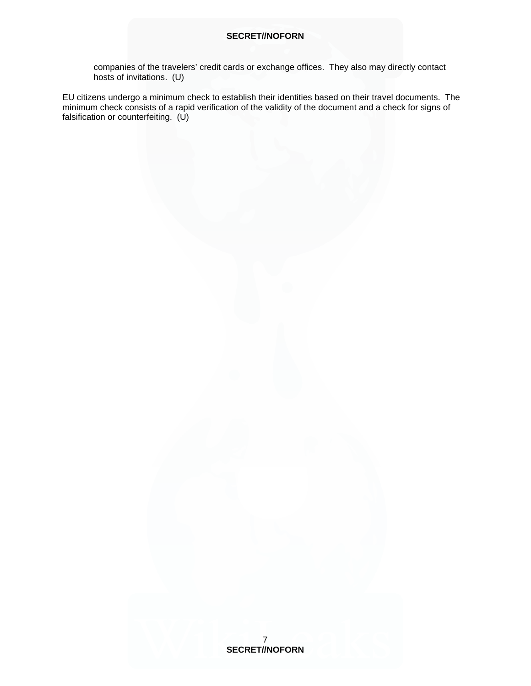companies of the travelers' credit cards or exchange offices. They also may directly contact hosts of invitations. (U)

EU citizens undergo a minimum check to establish their identities based on their travel documents. The minimum check consists of a rapid verification of the validity of the document and a check for signs of falsification or counterfeiting. (U)